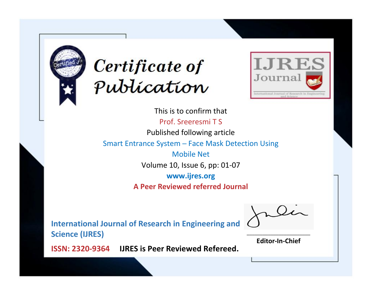



This is to confirm that Prof. Sreeresmi T S Published following article Smart Entrance System ─ Face Mask Detection Using Mobile Net Volume 10, Issue 6, pp: 01-07 **www.ijres.org**

**A Peer Reviewed referred Journal**

**International Journal of Research in Engineering and Science (IJRES)**

\_\_\_\_\_\_\_\_\_\_\_\_\_\_\_\_\_\_\_\_\_\_\_\_ **Editor-In-Chief**

**Journal.**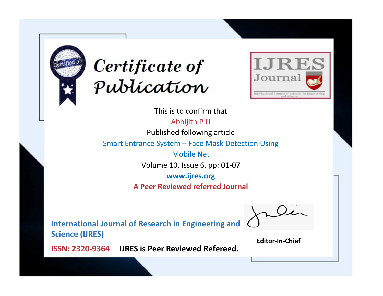



This is to confirm that Abhijith P U

Published following article

Smart Entrance System ─ Face Mask Detection Using

Mobile Net Volume 10, Issue 6, pp: 01-07

**www.ijres.org**

**A Peer Reviewed referred Journal**

**International Journal of Research in Engineering and Science (IJRES)**

\_\_\_\_\_\_\_\_\_\_\_\_\_\_\_\_\_\_\_\_\_\_\_\_ **Editor-In-Chief**

**Journal.**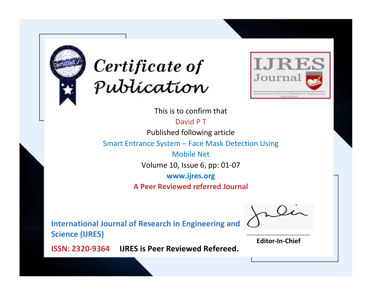



This is to confirm that

David P T

Published following article

Smart Entrance System ─ Face Mask Detection Using

Mobile Net Volume 10, Issue 6, pp: 01-07

**www.ijres.org**

**A Peer Reviewed referred Journal**

**International Journal of Research in Engineering and Science (IJRES)**

\_\_\_\_\_\_\_\_\_\_\_\_\_\_\_\_\_\_\_\_\_\_\_\_ **Editor-In-Chief**

**Journal.**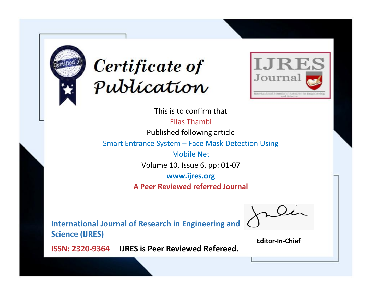



This is to confirm that Elias Thambi Published following article Smart Entrance System ─ Face Mask Detection Using Mobile Net Volume 10, Issue 6, pp: 01-07 **www.ijres.org**

**A Peer Reviewed referred Journal**

**International Journal of Research in Engineering and Science (IJRES)**

\_\_\_\_\_\_\_\_\_\_\_\_\_\_\_\_\_\_\_\_\_\_\_\_ **Editor-In-Chief**

**Journal.**